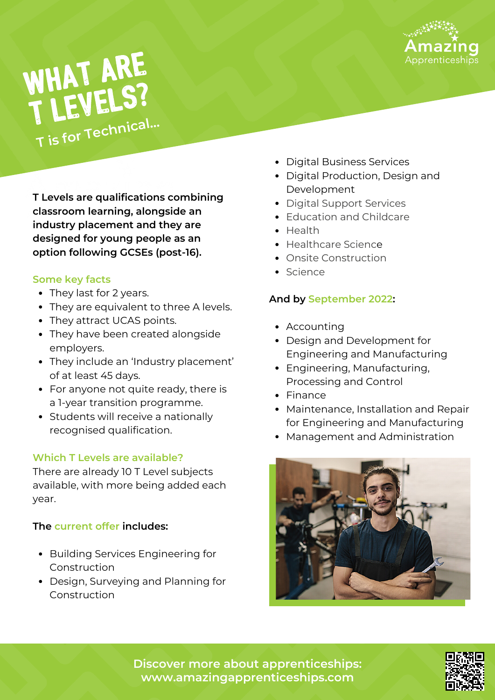

# WHAT ARE T LEVELS? **T is for Technical...**

**T Levels are qualifications combining classroom learning, alongside an industry placement and they are designed for young people as an option following GCSEs (post-16).**

## **Some key facts**

- They last for 2 years.
- They are equivalent to three A levels.
- They attract UCAS points.
- They have been created alongside employers.
- They include an 'Industry placement' of at least 45 days.
- For anyone not quite ready, there is a 1-year transition programme.
- Students will receive a nationally recognised qualification.

## **Which T Levels are available?**

There are already 10 T Level subjects available, with more being added each year.

## **The current offer includes:**

- **Building Services Engineering for** [Construction](https://www.tlevels.gov.uk/students/subjects/building-services-engineering)
- Design, Surveying and Planning for [Construction](https://www.tlevels.gov.uk/students/subjects/design-surveying-planning)
- Digital [Business](https://www.tlevels.gov.uk/students/subjects/design-surveying-planning) Services
- Digital Production, Design and [Development](https://www.tlevels.gov.uk/students/subjects/design-surveying-planning)
- Digital [Support](https://www.tlevels.gov.uk/students/subjects/digital-support-services) Services
- Fducation and Childcare
- [Health](https://www.tlevels.gov.uk/students/subjects/health)
- [Healthcare](https://www.tlevels.gov.uk/students/subjects/healthcare-science) Science
- Onsite [Construction](https://www.tlevels.gov.uk/students/subjects/onsite-construction)
- Science

# **And by September 2022:**

- A[ccounting](https://www.tlevels.gov.uk/students/subjects/accounting)
- Design and Development for Engineering and [Manufacturing](https://www.tlevels.gov.uk/students/subjects/design-development-engineering)
- Engineering, [Manufacturing,](https://www.tlevels.gov.uk/students/subjects/engineering-manufacturing-processing-control) Processing and Control
- [Finance](https://www.tlevels.gov.uk/students/subjects/finance)
- Maintenance, Installation and Repair for Engineering and [Manufacturing](https://www.tlevels.gov.uk/students/subjects/maintenance-installation-repair)
- Management and [Administration](https://www.tlevels.gov.uk/students/subjects/management-administration)